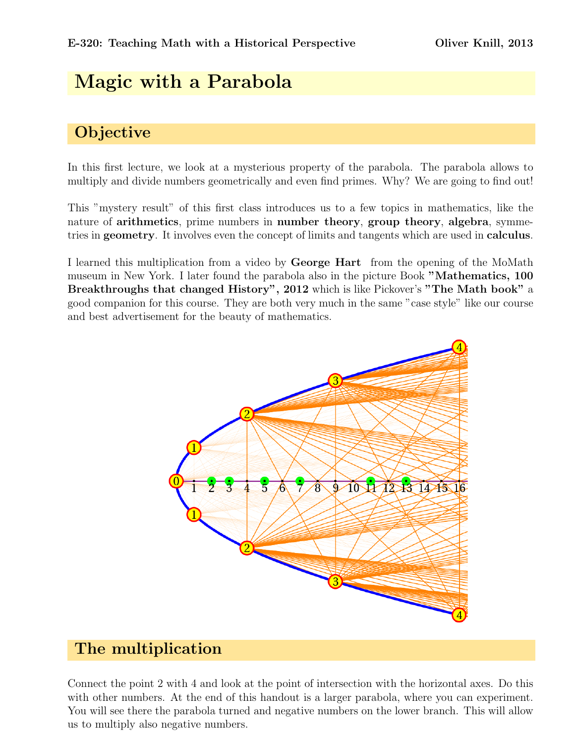# Magic with a Parabola

# **Objective**

In this first lecture, we look at a mysterious property of the parabola. The parabola allows to multiply and divide numbers geometrically and even find primes. Why? We are going to find out!

This "mystery result" of this first class introduces us to a few topics in mathematics, like the nature of arithmetics, prime numbers in number theory, group theory, algebra, symmetries in geometry. It involves even the concept of limits and tangents which are used in calculus.

I learned this multiplication from a video by George Hart from the opening of the MoMath museum in New York. I later found the parabola also in the picture Book "Mathematics, 100 Breakthroughs that changed History", 2012 which is like Pickover's "The Math book" a good companion for this course. They are both very much in the same "case style" like our course and best advertisement for the beauty of mathematics.



#### The multiplication

Connect the point 2 with 4 and look at the point of intersection with the horizontal axes. Do this with other numbers. At the end of this handout is a larger parabola, where you can experiment. You will see there the parabola turned and negative numbers on the lower branch. This will allow us to multiply also negative numbers.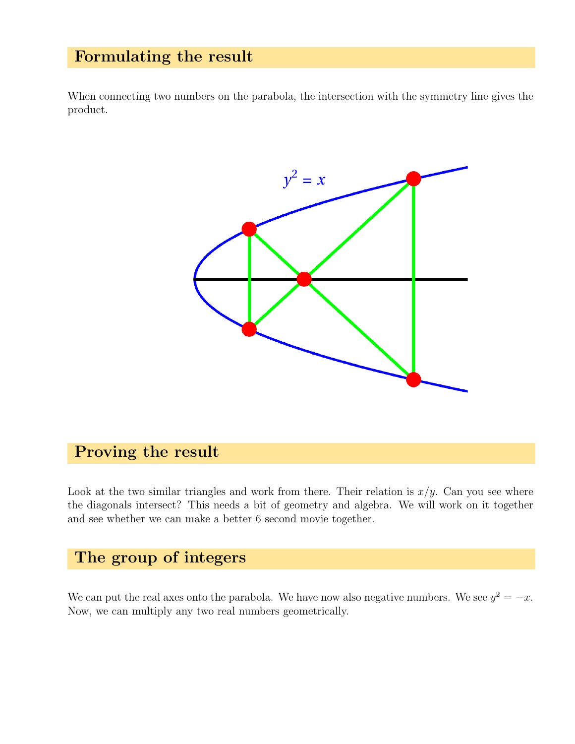#### Formulating the result

When connecting two numbers on the parabola, the intersection with the symmetry line gives the product.



### Proving the result

Look at the two similar triangles and work from there. Their relation is  $x/y$ . Can you see where the diagonals intersect? This needs a bit of geometry and algebra. We will work on it together and see whether we can make a better 6 second movie together.

#### The group of integers

We can put the real axes onto the parabola. We have now also negative numbers. We see  $y^2 = -x$ . Now, we can multiply any two real numbers geometrically.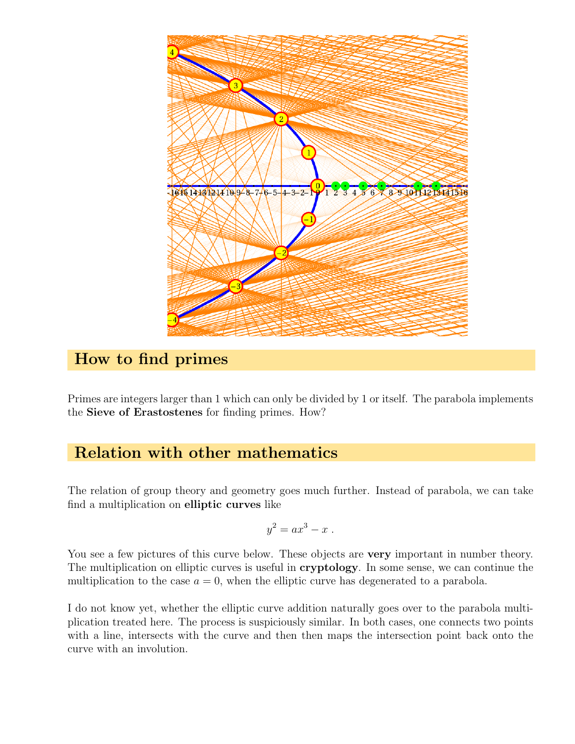

### How to find primes

Primes are integers larger than 1 which can only be divided by 1 or itself. The parabola implements the Sieve of Erastostenes for finding primes. How?

## Relation with other mathematics

The relation of group theory and geometry goes much further. Instead of parabola, we can take find a multiplication on elliptic curves like

$$
y^2 = ax^3 - x.
$$

You see a few pictures of this curve below. These objects are **very** important in number theory. The multiplication on elliptic curves is useful in cryptology. In some sense, we can continue the multiplication to the case  $a = 0$ , when the elliptic curve has degenerated to a parabola.

I do not know yet, whether the elliptic curve addition naturally goes over to the parabola multiplication treated here. The process is suspiciously similar. In both cases, one connects two points with a line, intersects with the curve and then then maps the intersection point back onto the curve with an involution.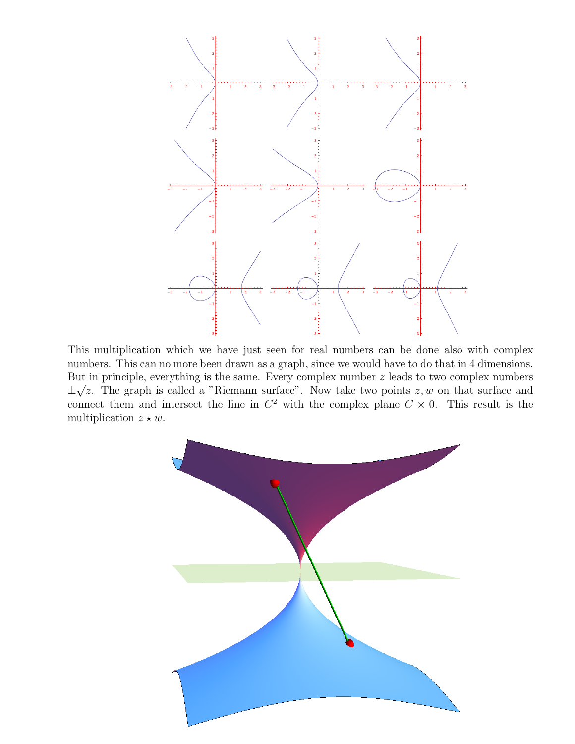

This multiplication which we have just seen for real numbers can be done also with complex numbers. This can no more been drawn as a graph, since we would have to do that in 4 dimensions. But in principle, everything is the same. Every complex number  $z$  leads to two complex numbers ± u∪<br>′  $\overline{z}$ . The graph is called a "Riemann surface". Now take two points  $z, w$  on that surface and connect them and intersect the line in  $C^2$  with the complex plane  $C \times 0$ . This result is the multiplication  $z \star w$ .

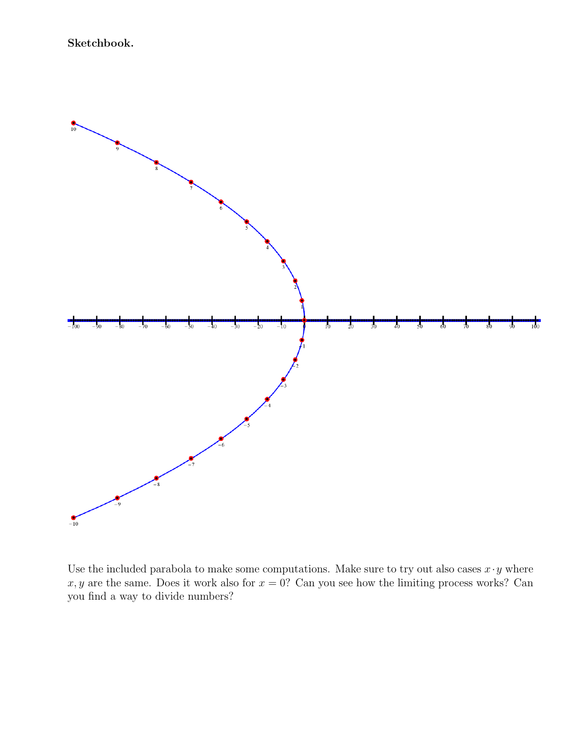

Use the included parabola to make some computations. Make sure to try out also cases  $x \cdot y$  where  $x, y$  are the same. Does it work also for  $x = 0$ ? Can you see how the limiting process works? Can you find a way to divide numbers?